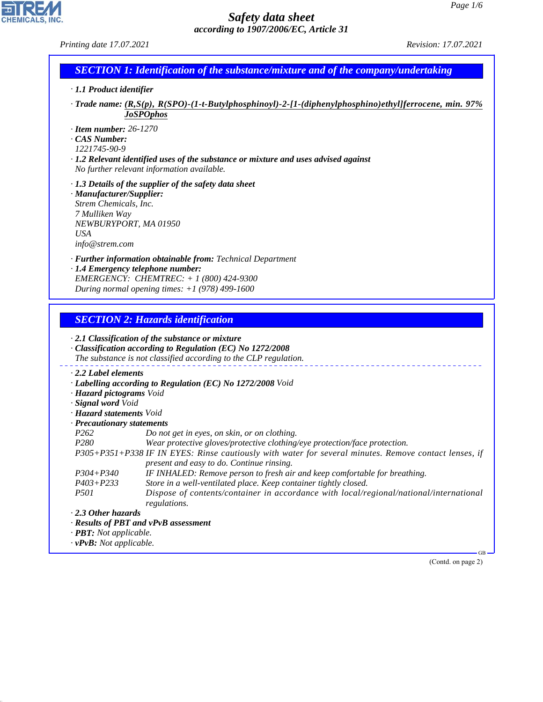| Printing date 17.07.2021                                                                                                     |                                                                                                                                                                                                                                          | Revision: 17.07.2021         |
|------------------------------------------------------------------------------------------------------------------------------|------------------------------------------------------------------------------------------------------------------------------------------------------------------------------------------------------------------------------------------|------------------------------|
|                                                                                                                              | <b>SECTION 1: Identification of the substance/mixture and of the company/undertaking</b>                                                                                                                                                 |                              |
| $\cdot$ 1.1 Product identifier                                                                                               |                                                                                                                                                                                                                                          |                              |
|                                                                                                                              | $\cdot$ Trade name: $(R, S(p), R(SPO)$ -(1-t-Butylphosphinoyl)-2-[1-(diphenylphosphino)ethyl]ferrocene, min. 97%<br><b>JoSPOphos</b>                                                                                                     |                              |
| $\cdot$ Item number: 26-1270<br>CAS Number:<br>1221745-90-9                                                                  | $\cdot$ 1.2 Relevant identified uses of the substance or mixture and uses advised against<br>No further relevant information available.                                                                                                  |                              |
| · Manufacturer/Supplier:<br>Strem Chemicals, Inc.<br>7 Mulliken Way<br>NEWBURYPORT, MA 01950<br><b>USA</b><br>info@strem.com | $\cdot$ 1.3 Details of the supplier of the safety data sheet                                                                                                                                                                             |                              |
|                                                                                                                              | · Further information obtainable from: Technical Department                                                                                                                                                                              |                              |
|                                                                                                                              | · 1.4 Emergency telephone number:<br>EMERGENCY: CHEMTREC: + 1 (800) 424-9300                                                                                                                                                             |                              |
|                                                                                                                              | During normal opening times: $+1$ (978) 499-1600                                                                                                                                                                                         |                              |
|                                                                                                                              | <b>SECTION 2: Hazards identification</b><br>$\cdot$ 2.1 Classification of the substance or mixture<br>· Classification according to Regulation (EC) No 1272/2008<br>The substance is not classified according to the CLP regulation.     |                              |
| $\cdot$ 2.2 Label elements<br>· Hazard pictograms Void<br>· Signal word Void<br>· Hazard statements Void                     | · Labelling according to Regulation (EC) No 1272/2008 Void                                                                                                                                                                               |                              |
| · Precautionary statements<br>P <sub>262</sub>                                                                               | Do not get in eyes, on skin, or on clothing.                                                                                                                                                                                             |                              |
| P <sub>280</sub>                                                                                                             | Wear protective gloves/protective clothing/eye protection/face protection.<br>P305+P351+P338 IF IN EYES: Rinse cautiously with water for several minutes. Remove contact lenses, if<br>present and easy to do. Continue rinsing.         |                              |
| $P304 + P340$<br>$P403 + P233$<br><i>P501</i>                                                                                | IF INHALED: Remove person to fresh air and keep comfortable for breathing.<br>Store in a well-ventilated place. Keep container tightly closed.<br>Dispose of contents/container in accordance with local/regional/national/international |                              |
| $\cdot$ 2.3 Other hazards<br>$\cdot$ <b>PBT:</b> Not applicable.<br>$\cdot$ vPvB: Not applicable.                            | regulations.<br>· Results of PBT and vPvB assessment                                                                                                                                                                                     |                              |
|                                                                                                                              |                                                                                                                                                                                                                                          | $GB -$<br>(Contd. on page 2) |
|                                                                                                                              |                                                                                                                                                                                                                                          |                              |

44.1.1

CHEMICALS, INC.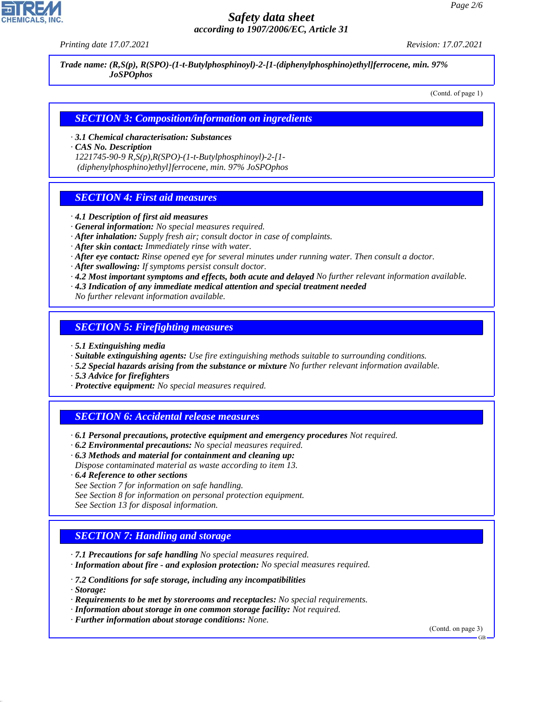*Printing date 17.07.2021 Revision: 17.07.2021*

*Trade name: (R,S(p), R(SPO)-(1-t-Butylphosphinoyl)-2-[1-(diphenylphosphino)ethyl]ferrocene, min. 97% JoSPOphos*

(Contd. of page 1)

#### *SECTION 3: Composition/information on ingredients*

*· 3.1 Chemical characterisation: Substances*

*· CAS No. Description*

*1221745-90-9 R,S(p),R(SPO)-(1-t-Butylphosphinoyl)-2-[1- (diphenylphosphino)ethyl]ferrocene, min. 97% JoSPOphos*

## *SECTION 4: First aid measures*

- *· 4.1 Description of first aid measures*
- *· General information: No special measures required.*
- *· After inhalation: Supply fresh air; consult doctor in case of complaints.*
- *· After skin contact: Immediately rinse with water.*
- *· After eye contact: Rinse opened eye for several minutes under running water. Then consult a doctor.*
- *· After swallowing: If symptoms persist consult doctor.*
- *· 4.2 Most important symptoms and effects, both acute and delayed No further relevant information available.*
- *· 4.3 Indication of any immediate medical attention and special treatment needed*

*No further relevant information available.*

#### *SECTION 5: Firefighting measures*

- *· 5.1 Extinguishing media*
- *· Suitable extinguishing agents: Use fire extinguishing methods suitable to surrounding conditions.*
- *· 5.2 Special hazards arising from the substance or mixture No further relevant information available.*
- *· 5.3 Advice for firefighters*
- *· Protective equipment: No special measures required.*

# *SECTION 6: Accidental release measures*

- *· 6.1 Personal precautions, protective equipment and emergency procedures Not required.*
- *· 6.2 Environmental precautions: No special measures required.*
- *· 6.3 Methods and material for containment and cleaning up:*
- *Dispose contaminated material as waste according to item 13.*
- *· 6.4 Reference to other sections*
- *See Section 7 for information on safe handling.*
- *See Section 8 for information on personal protection equipment.*
- *See Section 13 for disposal information.*

# *SECTION 7: Handling and storage*

- *· 7.1 Precautions for safe handling No special measures required.*
- *· Information about fire and explosion protection: No special measures required.*
- *· 7.2 Conditions for safe storage, including any incompatibilities*
- *· Storage:*

44.1.1

- *· Requirements to be met by storerooms and receptacles: No special requirements.*
- *· Information about storage in one common storage facility: Not required.*
- *· Further information about storage conditions: None.*

(Contd. on page 3)



GB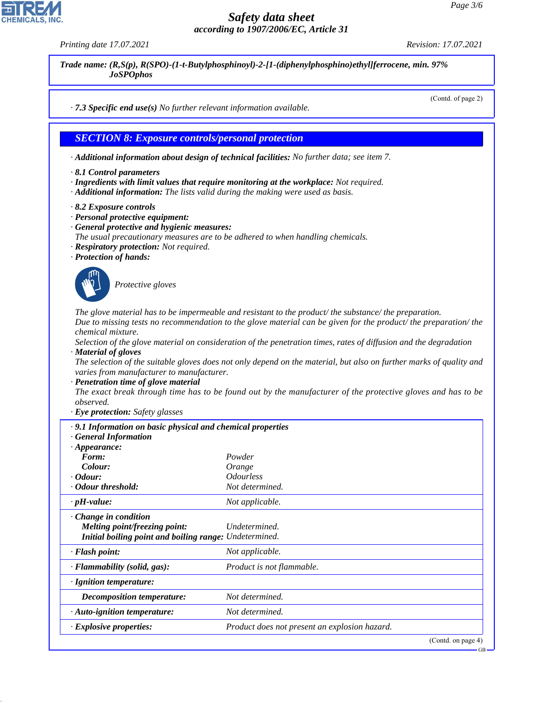*Printing date 17.07.2021 Revision: 17.07.2021*

*Trade name: (R,S(p), R(SPO)-(1-t-Butylphosphinoyl)-2-[1-(diphenylphosphino)ethyl]ferrocene, min. 97% JoSPOphos*

(Contd. of page 2)

*· 7.3 Specific end use(s) No further relevant information available.*

## *SECTION 8: Exposure controls/personal protection*

*· Additional information about design of technical facilities: No further data; see item 7.*

- *· 8.1 Control parameters*
- *· Ingredients with limit values that require monitoring at the workplace: Not required.*
- *· Additional information: The lists valid during the making were used as basis.*
- *· 8.2 Exposure controls*
- *· Personal protective equipment:*
- *· General protective and hygienic measures:*
- *The usual precautionary measures are to be adhered to when handling chemicals.*
- *· Respiratory protection: Not required.*
- *· Protection of hands:*



\_S*Protective gloves*

*The glove material has to be impermeable and resistant to the product/ the substance/ the preparation. Due to missing tests no recommendation to the glove material can be given for the product/ the preparation/ the chemical mixture.*

*Selection of the glove material on consideration of the penetration times, rates of diffusion and the degradation · Material of gloves*

*The selection of the suitable gloves does not only depend on the material, but also on further marks of quality and varies from manufacturer to manufacturer.*

*· Penetration time of glove material*

*The exact break through time has to be found out by the manufacturer of the protective gloves and has to be observed.*

*· Eye protection: Safety glasses*

| $\cdot$ 9.1 Information on basic physical and chemical properties<br><b>General Information</b>                        |                                               |  |
|------------------------------------------------------------------------------------------------------------------------|-----------------------------------------------|--|
| $\cdot$ Appearance:                                                                                                    |                                               |  |
| Form:                                                                                                                  | Powder                                        |  |
| Colour:                                                                                                                | Orange                                        |  |
| $\cdot$ Odour:                                                                                                         | <i><b>Odourless</b></i>                       |  |
| · Odour threshold:                                                                                                     | Not determined.                               |  |
| $\cdot$ pH-value:                                                                                                      | Not applicable.                               |  |
| $\cdot$ Change in condition<br>Melting point/freezing point:<br>Initial boiling point and boiling range: Undetermined. | Undetermined.                                 |  |
| $\cdot$ Flash point:                                                                                                   | Not applicable.                               |  |
| $\cdot$ Flammability (solid, gas):                                                                                     | Product is not flammable.                     |  |
| · Ignition temperature:                                                                                                |                                               |  |
| Decomposition temperature:                                                                                             | Not determined.                               |  |
| · Auto-ignition temperature:                                                                                           | Not determined.                               |  |
| $\cdot$ Explosive properties:                                                                                          | Product does not present an explosion hazard. |  |
|                                                                                                                        | (Contd. on page 4)                            |  |



44.1.1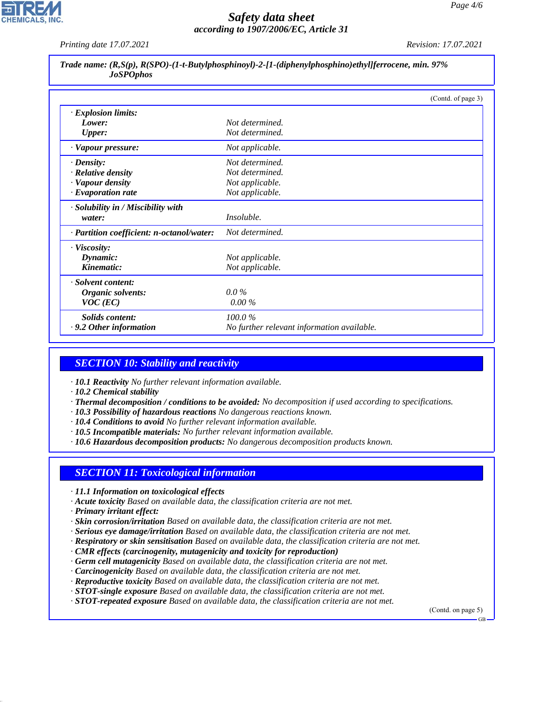*Printing date 17.07.2021 Revision: 17.07.2021*

| Trade name: $(R, S(p), R(SPO)$ -(1-t-Butylphosphinoyl)-2-[1-(diphenylphosphino)ethyl]ferrocene, min. 97% |  |
|----------------------------------------------------------------------------------------------------------|--|
| <b>JoSPOphos</b>                                                                                         |  |

|                                           | (Contd. of page 3)                         |
|-------------------------------------------|--------------------------------------------|
| · Explosion limits:                       |                                            |
| Lower:                                    | Not determined.                            |
| <b>Upper:</b>                             | Not determined.                            |
| · Vapour pressure:                        | Not applicable.                            |
| $\cdot$ Density:                          | Not determined.                            |
| · Relative density                        | Not determined.                            |
| · Vapour density                          | Not applicable.                            |
| $\cdot$ Evaporation rate                  | Not applicable.                            |
| · Solubility in / Miscibility with        |                                            |
| water:                                    | Insoluble.                                 |
| · Partition coefficient: n-octanol/water: | Not determined.                            |
| $\cdot$ Viscosity:                        |                                            |
| Dynamic:                                  | Not applicable.                            |
| Kinematic:                                | Not applicable.                            |
| · Solvent content:                        |                                            |
| Organic solvents:                         | $0.0\%$                                    |
| $VOC$ (EC)                                | $0.00\%$                                   |
| Solids content:                           | 100.0%                                     |
| $\cdot$ 9.2 Other information             | No further relevant information available. |

# *SECTION 10: Stability and reactivity*

- *· 10.1 Reactivity No further relevant information available.*
- *· 10.2 Chemical stability*
- *· Thermal decomposition / conditions to be avoided: No decomposition if used according to specifications.*
- *· 10.3 Possibility of hazardous reactions No dangerous reactions known.*
- *· 10.4 Conditions to avoid No further relevant information available.*
- *· 10.5 Incompatible materials: No further relevant information available.*
- *· 10.6 Hazardous decomposition products: No dangerous decomposition products known.*

# *SECTION 11: Toxicological information*

- *· 11.1 Information on toxicological effects*
- *· Acute toxicity Based on available data, the classification criteria are not met.*
- *· Primary irritant effect:*

44.1.1

- *· Skin corrosion/irritation Based on available data, the classification criteria are not met.*
- *· Serious eye damage/irritation Based on available data, the classification criteria are not met.*
- *· Respiratory or skin sensitisation Based on available data, the classification criteria are not met.*
- *· CMR effects (carcinogenity, mutagenicity and toxicity for reproduction)*
- *· Germ cell mutagenicity Based on available data, the classification criteria are not met.*
- *· Carcinogenicity Based on available data, the classification criteria are not met.*
- *· Reproductive toxicity Based on available data, the classification criteria are not met.*
- *· STOT-single exposure Based on available data, the classification criteria are not met.*
- *· STOT-repeated exposure Based on available data, the classification criteria are not met.*

(Contd. on page 5)

 $GR$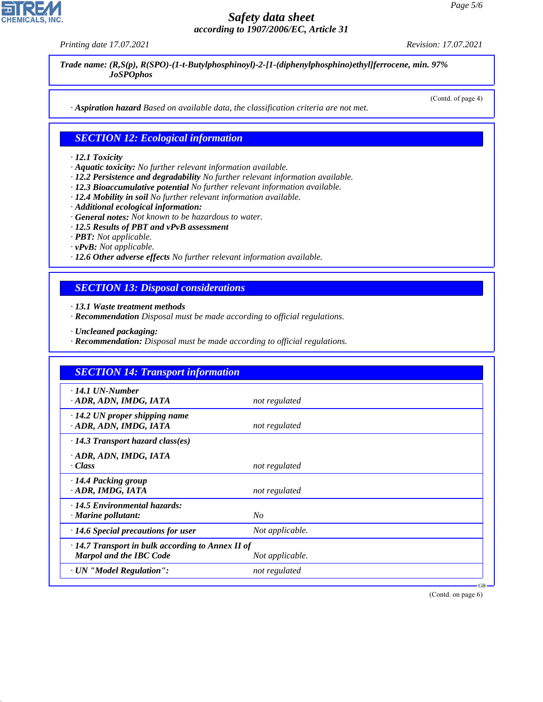*Printing date 17.07.2021 Revision: 17.07.2021*

*Trade name: (R,S(p), R(SPO)-(1-t-Butylphosphinoyl)-2-[1-(diphenylphosphino)ethyl]ferrocene, min. 97% JoSPOphos*

(Contd. of page 4)

*· Aspiration hazard Based on available data, the classification criteria are not met.*

## *SECTION 12: Ecological information*

#### *· 12.1 Toxicity*

- *· Aquatic toxicity: No further relevant information available.*
- *· 12.2 Persistence and degradability No further relevant information available.*
- *· 12.3 Bioaccumulative potential No further relevant information available.*
- *· 12.4 Mobility in soil No further relevant information available.*
- *· Additional ecological information:*
- *· General notes: Not known to be hazardous to water.*
- *· 12.5 Results of PBT and vPvB assessment*
- *· PBT: Not applicable.*
- *· vPvB: Not applicable.*
- *· 12.6 Other adverse effects No further relevant information available.*

# *SECTION 13: Disposal considerations*

*· 13.1 Waste treatment methods*

- *· Recommendation Disposal must be made according to official regulations.*
- *· Uncleaned packaging:*
- *· Recommendation: Disposal must be made according to official regulations.*

| <b>SECTION 14: Transport information</b>                                                  |                 |  |
|-------------------------------------------------------------------------------------------|-----------------|--|
| $\cdot$ 14.1 UN-Number<br>· ADR, ADN, IMDG, IATA                                          | not regulated   |  |
| $\cdot$ 14.2 UN proper shipping name<br>· ADR, ADN, IMDG, IATA                            | not regulated   |  |
| $\cdot$ 14.3 Transport hazard class(es)                                                   |                 |  |
| · ADR, ADN, IMDG, IATA<br>· Class                                                         | not regulated   |  |
| $\cdot$ 14.4 Packing group<br>· ADR, IMDG, IATA                                           | not regulated   |  |
| $\cdot$ 14.5 Environmental hazards:<br>$\cdot$ Marine pollutant:                          | N <sub>O</sub>  |  |
| $\cdot$ 14.6 Special precautions for user                                                 | Not applicable. |  |
| $\cdot$ 14.7 Transport in bulk according to Annex II of<br><b>Marpol and the IBC Code</b> | Not applicable. |  |
| · UN "Model Regulation":                                                                  | not regulated   |  |

(Contd. on page 6)

GB



44.1.1